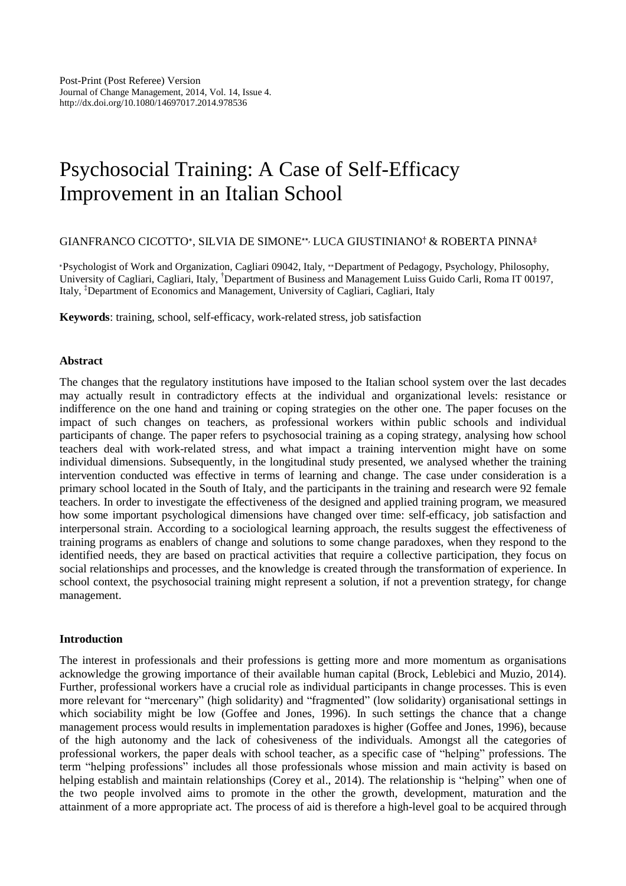# Psychosocial Training: A Case of Self-Efficacy Improvement in an Italian School

# GIANFRANCO CICOTTO<sup>∗</sup> , SILVIA DE SIMONE∗∗, LUCA GIUSTINIANO† & ROBERTA PINNA‡

<sup>∗</sup>Psychologist of Work and Organization, Cagliari 09042, Italy, ∗∗Department of Pedagogy, Psychology, Philosophy, University of Cagliari, Cagliari, Italy, †Department of Business and Management Luiss Guido Carli, Roma IT 00197, Italy, ‡Department of Economics and Management, University of Cagliari, Cagliari, Italy

**Keywords**: training, school, self-efficacy, work-related stress, job satisfaction

## **Abstract**

The changes that the regulatory institutions have imposed to the Italian school system over the last decades may actually result in contradictory effects at the individual and organizational levels: resistance or indifference on the one hand and training or coping strategies on the other one. The paper focuses on the impact of such changes on teachers, as professional workers within public schools and individual participants of change. The paper refers to psychosocial training as a coping strategy, analysing how school teachers deal with work-related stress, and what impact a training intervention might have on some individual dimensions. Subsequently, in the longitudinal study presented, we analysed whether the training intervention conducted was effective in terms of learning and change. The case under consideration is a primary school located in the South of Italy, and the participants in the training and research were 92 female teachers. In order to investigate the effectiveness of the designed and applied training program, we measured how some important psychological dimensions have changed over time: self-efficacy, job satisfaction and interpersonal strain. According to a sociological learning approach, the results suggest the effectiveness of training programs as enablers of change and solutions to some change paradoxes, when they respond to the identified needs, they are based on practical activities that require a collective participation, they focus on social relationships and processes, and the knowledge is created through the transformation of experience. In school context, the psychosocial training might represent a solution, if not a prevention strategy, for change management.

## **Introduction**

The interest in professionals and their professions is getting more and more momentum as organisations acknowledge the growing importance of their available human capital (Brock, Leblebici and Muzio, 2014). Further, professional workers have a crucial role as individual participants in change processes. This is even more relevant for "mercenary" (high solidarity) and "fragmented" (low solidarity) organisational settings in which sociability might be low (Goffee and Jones, 1996). In such settings the chance that a change management process would results in implementation paradoxes is higher (Goffee and Jones, 1996), because of the high autonomy and the lack of cohesiveness of the individuals. Amongst all the categories of professional workers, the paper deals with school teacher, as a specific case of "helping" professions. The term "helping professions" includes all those professionals whose mission and main activity is based on helping establish and maintain relationships (Corey et al., 2014). The relationship is "helping" when one of the two people involved aims to promote in the other the growth, development, maturation and the attainment of a more appropriate act. The process of aid is therefore a high-level goal to be acquired through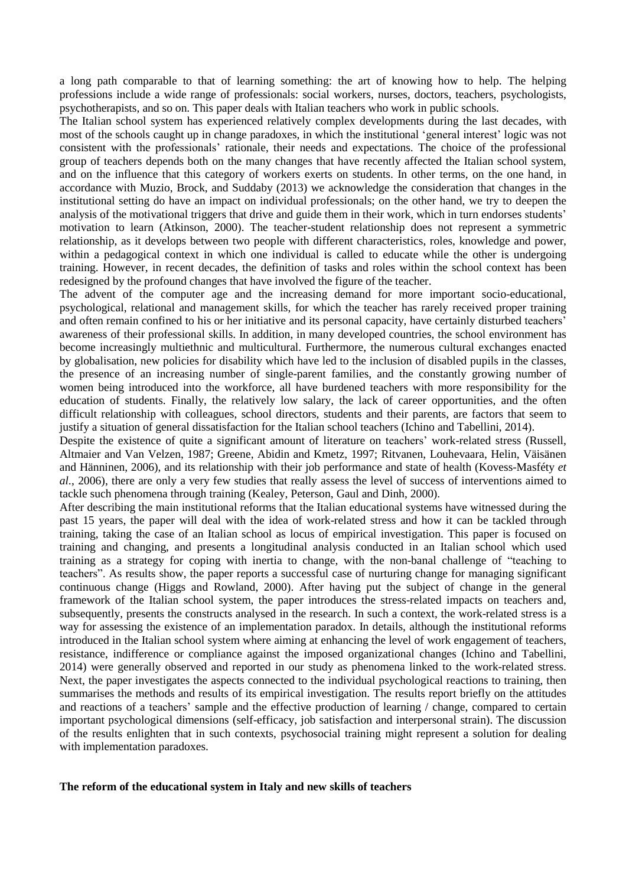a long path comparable to that of learning something: the art of knowing how to help. The helping professions include a wide range of professionals: social workers, nurses, doctors, teachers, psychologists, psychotherapists, and so on. This paper deals with Italian teachers who work in public schools.

The Italian school system has experienced relatively complex developments during the last decades, with most of the schools caught up in change paradoxes, in which the institutional 'general interest' logic was not consistent with the professionals' rationale, their needs and expectations. The choice of the professional group of teachers depends both on the many changes that have recently affected the Italian school system, and on the influence that this category of workers exerts on students. In other terms, on the one hand, in accordance with Muzio, Brock, and Suddaby (2013) we acknowledge the consideration that changes in the institutional setting do have an impact on individual professionals; on the other hand, we try to deepen the analysis of the motivational triggers that drive and guide them in their work, which in turn endorses students' motivation to learn (Atkinson, 2000). The teacher-student relationship does not represent a symmetric relationship, as it develops between two people with different characteristics, roles, knowledge and power, within a pedagogical context in which one individual is called to educate while the other is undergoing training. However, in recent decades, the definition of tasks and roles within the school context has been redesigned by the profound changes that have involved the figure of the teacher.

The advent of the computer age and the increasing demand for more important socio-educational, psychological, relational and management skills, for which the teacher has rarely received proper training and often remain confined to his or her initiative and its personal capacity, have certainly disturbed teachers' awareness of their professional skills. In addition, in many developed countries, the school environment has become increasingly multiethnic and multicultural. Furthermore, the numerous cultural exchanges enacted by globalisation, new policies for disability which have led to the inclusion of disabled pupils in the classes, the presence of an increasing number of single-parent families, and the constantly growing number of women being introduced into the workforce, all have burdened teachers with more responsibility for the education of students. Finally, the relatively low salary, the lack of career opportunities, and the often difficult relationship with colleagues, school directors, students and their parents, are factors that seem to justify a situation of general dissatisfaction for the Italian school teachers (Ichino and Tabellini, 2014).

Despite the existence of quite a significant amount of literature on teachers' work-related stress (Russell, Altmaier and Van Velzen, 1987; Greene, Abidin and Kmetz, 1997; Ritvanen, Louhevaara, Helin, Väisänen and Hänninen, 2006), and its relationship with their job performance and state of health (Kovess-Masféty *et al.*, 2006), there are only a very few studies that really assess the level of success of interventions aimed to tackle such phenomena through training (Kealey, Peterson, Gaul and Dinh, 2000).

After describing the main institutional reforms that the Italian educational systems have witnessed during the past 15 years, the paper will deal with the idea of work-related stress and how it can be tackled through training, taking the case of an Italian school as locus of empirical investigation. This paper is focused on training and changing, and presents a longitudinal analysis conducted in an Italian school which used training as a strategy for coping with inertia to change, with the non-banal challenge of "teaching to teachers". As results show, the paper reports a successful case of nurturing change for managing significant continuous change (Higgs and Rowland, 2000). After having put the subject of change in the general framework of the Italian school system, the paper introduces the stress-related impacts on teachers and, subsequently, presents the constructs analysed in the research. In such a context, the work-related stress is a way for assessing the existence of an implementation paradox. In details, although the institutional reforms introduced in the Italian school system where aiming at enhancing the level of work engagement of teachers, resistance, indifference or compliance against the imposed organizational changes (Ichino and Tabellini, 2014) were generally observed and reported in our study as phenomena linked to the work-related stress. Next, the paper investigates the aspects connected to the individual psychological reactions to training, then summarises the methods and results of its empirical investigation. The results report briefly on the attitudes and reactions of a teachers' sample and the effective production of learning / change, compared to certain important psychological dimensions (self-efficacy, job satisfaction and interpersonal strain). The discussion of the results enlighten that in such contexts, psychosocial training might represent a solution for dealing with implementation paradoxes.

## **The reform of the educational system in Italy and new skills of teachers**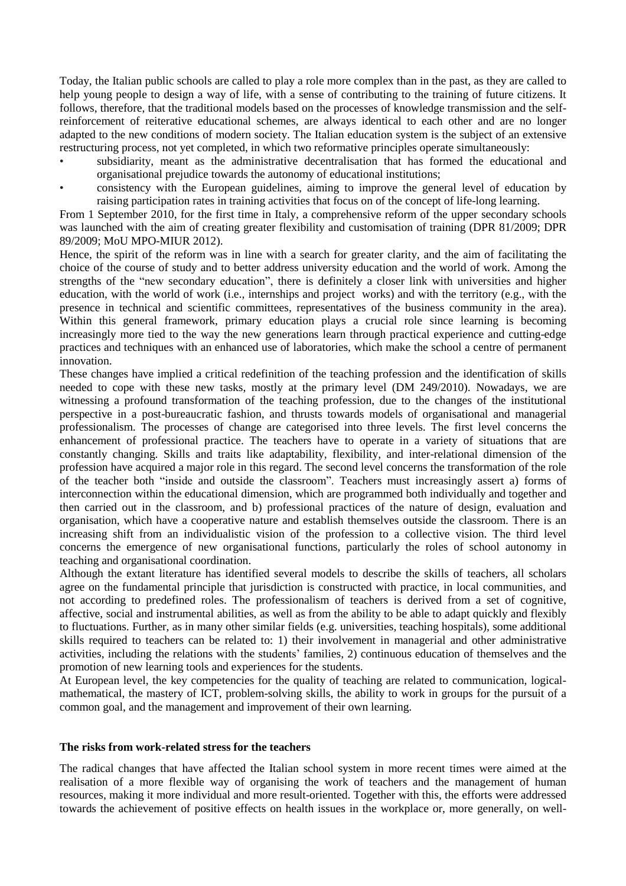Today, the Italian public schools are called to play a role more complex than in the past, as they are called to help young people to design a way of life, with a sense of contributing to the training of future citizens. It follows, therefore, that the traditional models based on the processes of knowledge transmission and the selfreinforcement of reiterative educational schemes, are always identical to each other and are no longer adapted to the new conditions of modern society. The Italian education system is the subject of an extensive restructuring process, not yet completed, in which two reformative principles operate simultaneously:

- subsidiarity, meant as the administrative decentralisation that has formed the educational and organisational prejudice towards the autonomy of educational institutions;
- consistency with the European guidelines, aiming to improve the general level of education by raising participation rates in training activities that focus on of the concept of life-long learning.

From 1 September 2010, for the first time in Italy, a comprehensive reform of the upper secondary schools was launched with the aim of creating greater flexibility and customisation of training (DPR 81/2009; DPR 89/2009; MoU MPO-MIUR 2012).

Hence, the spirit of the reform was in line with a search for greater clarity, and the aim of facilitating the choice of the course of study and to better address university education and the world of work. Among the strengths of the "new secondary education", there is definitely a closer link with universities and higher education, with the world of work (i.e., internships and project works) and with the territory (e.g., with the presence in technical and scientific committees, representatives of the business community in the area). Within this general framework, primary education plays a crucial role since learning is becoming increasingly more tied to the way the new generations learn through practical experience and cutting-edge practices and techniques with an enhanced use of laboratories, which make the school a centre of permanent innovation.

These changes have implied a critical redefinition of the teaching profession and the identification of skills needed to cope with these new tasks, mostly at the primary level (DM 249/2010). Nowadays, we are witnessing a profound transformation of the teaching profession, due to the changes of the institutional perspective in a post-bureaucratic fashion, and thrusts towards models of organisational and managerial professionalism. The processes of change are categorised into three levels. The first level concerns the enhancement of professional practice. The teachers have to operate in a variety of situations that are constantly changing. Skills and traits like adaptability, flexibility, and inter-relational dimension of the profession have acquired a major role in this regard. The second level concerns the transformation of the role of the teacher both "inside and outside the classroom". Teachers must increasingly assert a) forms of interconnection within the educational dimension, which are programmed both individually and together and then carried out in the classroom, and b) professional practices of the nature of design, evaluation and organisation, which have a cooperative nature and establish themselves outside the classroom. There is an increasing shift from an individualistic vision of the profession to a collective vision. The third level concerns the emergence of new organisational functions, particularly the roles of school autonomy in teaching and organisational coordination.

Although the extant literature has identified several models to describe the skills of teachers, all scholars agree on the fundamental principle that jurisdiction is constructed with practice, in local communities, and not according to predefined roles. The professionalism of teachers is derived from a set of cognitive, affective, social and instrumental abilities, as well as from the ability to be able to adapt quickly and flexibly to fluctuations. Further, as in many other similar fields (e.g. universities, teaching hospitals), some additional skills required to teachers can be related to: 1) their involvement in managerial and other administrative activities, including the relations with the students' families, 2) continuous education of themselves and the promotion of new learning tools and experiences for the students.

At European level, the key competencies for the quality of teaching are related to communication, logicalmathematical, the mastery of ICT, problem-solving skills, the ability to work in groups for the pursuit of a common goal, and the management and improvement of their own learning.

## **The risks from work-related stress for the teachers**

The radical changes that have affected the Italian school system in more recent times were aimed at the realisation of a more flexible way of organising the work of teachers and the management of human resources, making it more individual and more result-oriented. Together with this, the efforts were addressed towards the achievement of positive effects on health issues in the workplace or, more generally, on well-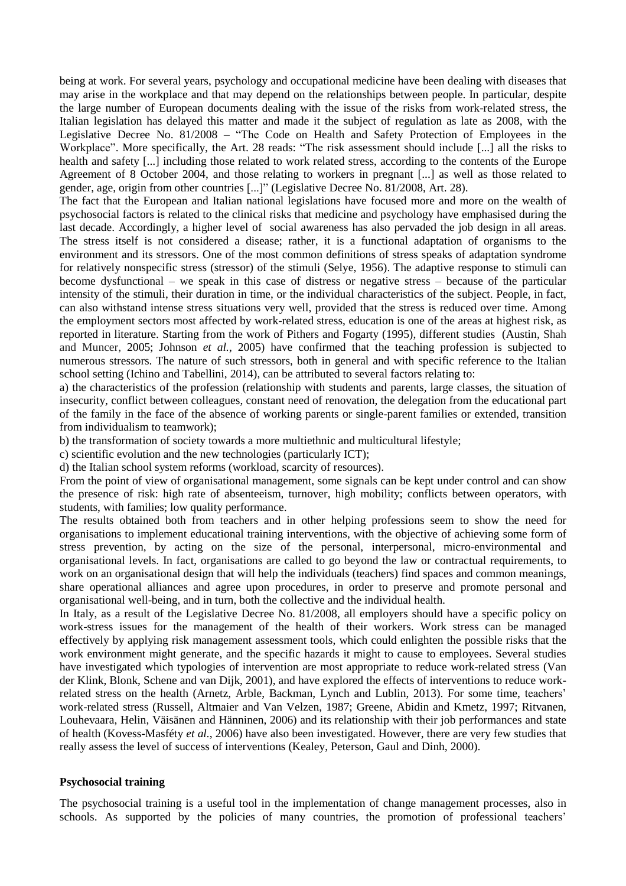being at work. For several years, psychology and occupational medicine have been dealing with diseases that may arise in the workplace and that may depend on the relationships between people. In particular, despite the large number of European documents dealing with the issue of the risks from work-related stress, the Italian legislation has delayed this matter and made it the subject of regulation as late as 2008, with the Legislative Decree No. 81/2008 – "The Code on Health and Safety Protection of Employees in the Workplace". More specifically, the Art. 28 reads: "The risk assessment should include [...] all the risks to health and safety [...] including those related to work related stress, according to the contents of the Europe Agreement of 8 October 2004, and those relating to workers in pregnant [...] as well as those related to gender, age, origin from other countries [...]" (Legislative Decree No. 81/2008, Art. 28).

The fact that the European and Italian national legislations have focused more and more on the wealth of psychosocial factors is related to the clinical risks that medicine and psychology have emphasised during the last decade. Accordingly, a higher level of social awareness has also pervaded the job design in all areas. The stress itself is not considered a disease; rather, it is a functional adaptation of organisms to the environment and its stressors. One of the most common definitions of stress speaks of adaptation syndrome for relatively nonspecific stress (stressor) of the stimuli (Selye, 1956). The adaptive response to stimuli can become dysfunctional – we speak in this case of distress or negative stress – because of the particular intensity of the stimuli, their duration in time, or the individual characteristics of the subject. People, in fact, can also withstand intense stress situations very well, provided that the stress is reduced over time. Among the employment sectors most affected by work-related stress, education is one of the areas at highest risk, as reported in literature. Starting from the work of Pithers and Fogarty (1995), different studies (Austin, Shah and Muncer, 2005; Johnson *et al.*, 2005) have confirmed that the teaching profession is subjected to numerous stressors. The nature of such stressors, both in general and with specific reference to the Italian school setting (Ichino and Tabellini, 2014), can be attributed to several factors relating to:

a) the characteristics of the profession (relationship with students and parents, large classes, the situation of insecurity, conflict between colleagues, constant need of renovation, the delegation from the educational part of the family in the face of the absence of working parents or single-parent families or extended, transition from individualism to teamwork);

b) the transformation of society towards a more multiethnic and multicultural lifestyle;

c) scientific evolution and the new technologies (particularly ICT);

d) the Italian school system reforms (workload, scarcity of resources).

From the point of view of organisational management, some signals can be kept under control and can show the presence of risk: high rate of absenteeism, turnover, high mobility; conflicts between operators, with students, with families; low quality performance.

The results obtained both from teachers and in other helping professions seem to show the need for organisations to implement educational training interventions, with the objective of achieving some form of stress prevention, by acting on the size of the personal, interpersonal, micro-environmental and organisational levels. In fact, organisations are called to go beyond the law or contractual requirements, to work on an organisational design that will help the individuals (teachers) find spaces and common meanings, share operational alliances and agree upon procedures, in order to preserve and promote personal and organisational well-being, and in turn, both the collective and the individual health.

In Italy, as a result of the Legislative Decree No. 81/2008, all employers should have a specific policy on work-stress issues for the management of the health of their workers. Work stress can be managed effectively by applying risk management assessment tools, which could enlighten the possible risks that the work environment might generate, and the specific hazards it might to cause to employees. Several studies have investigated which typologies of intervention are most appropriate to reduce work-related stress (Van der Klink, Blonk, Schene and van Dijk, 2001), and have explored the effects of interventions to reduce workrelated stress on the health (Arnetz, Arble, Backman, Lynch and Lublin, 2013). For some time, teachers' work-related stress (Russell, Altmaier and Van Velzen, 1987; Greene, Abidin and Kmetz, 1997; Ritvanen, Louhevaara, Helin, Väisänen and Hänninen, 2006) and its relationship with their job performances and state of health (Kovess-Masféty *et al.*, 2006) have also been investigated. However, there are very few studies that really assess the level of success of interventions (Kealey, Peterson, Gaul and Dinh, 2000).

# **Psychosocial training**

The psychosocial training is a useful tool in the implementation of change management processes, also in schools. As supported by the policies of many countries, the promotion of professional teachers'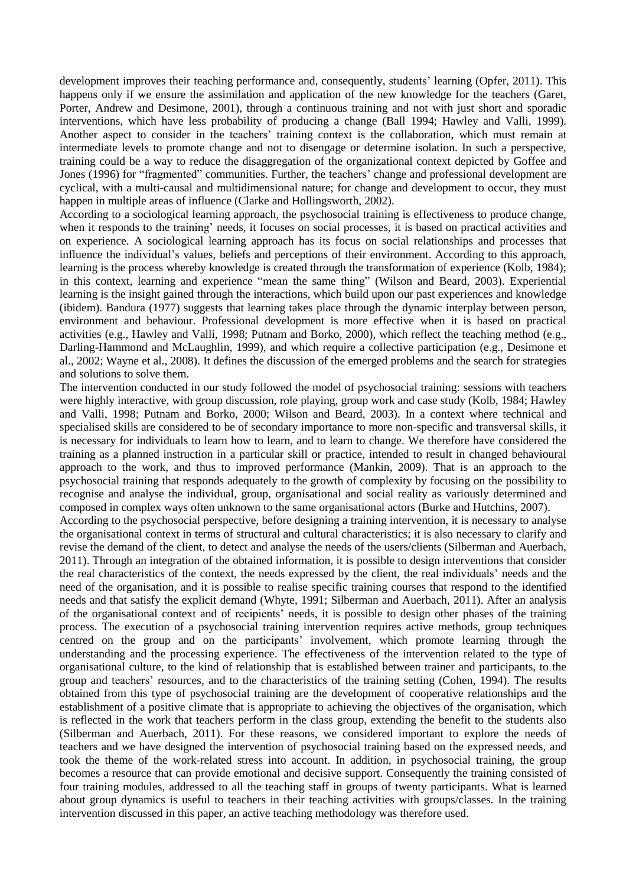development improves their teaching performance and, consequently, students' learning (Opfer, 2011). This happens only if we ensure the assimilation and application of the new knowledge for the teachers (Garet, Porter, Andrew and Desimone, 2001), through a continuous training and not with just short and sporadic interventions, which have less probability of producing a change (Ball 1994; Hawley and Valli, 1999). Another aspect to consider in the teachers' training context is the collaboration, which must remain at intermediate levels to promote change and not to disengage or determine isolation. In such a perspective, training could be a way to reduce the disaggregation of the organizational context depicted by Goffee and Jones (1996) for "fragmented" communities. Further, the teachers' change and professional development are cyclical, with a multi-causal and multidimensional nature; for change and development to occur, they must happen in multiple areas of influence (Clarke and Hollingsworth, 2002).

According to a sociological learning approach, the psychosocial training is effectiveness to produce change, when it responds to the training' needs, it focuses on social processes, it is based on practical activities and on experience. A sociological learning approach has its focus on social relationships and processes that influence the individual's values, beliefs and perceptions of their environment. According to this approach, learning is the process whereby knowledge is created through the transformation of experience (Kolb, 1984); in this context, learning and experience "mean the same thing" (Wilson and Beard, 2003). Experiential learning is the insight gained through the interactions, which build upon our past experiences and knowledge (ibidem). Bandura (1977) suggests that learning takes place through the dynamic interplay between person, environment and behaviour. Professional development is more effective when it is based on practical activities (e.g., Hawley and Valli, 1998; Putnam and Borko, 2000), which reflect the teaching method (e.g., Darling-Hammond and McLaughlin, 1999), and which require a collective participation (e.g., Desimone et al., 2002; Wayne et al., 2008). It defines the discussion of the emerged problems and the search for strategies and solutions to solve them.

The intervention conducted in our study followed the model of psychosocial training: sessions with teachers were highly interactive, with group discussion, role playing, group work and case study (Kolb, 1984; Hawley and Valli, 1998; Putnam and Borko, 2000; Wilson and Beard, 2003). In a context where technical and specialised skills are considered to be of secondary importance to more non-specific and transversal skills, it is necessary for individuals to learn how to learn, and to learn to change. We therefore have considered the training as a planned instruction in a particular skill or practice, intended to result in changed behavioural approach to the work, and thus to improved performance (Mankin, 2009). That is an approach to the psychosocial training that responds adequately to the growth of complexity by focusing on the possibility to recognise and analyse the individual, group, organisational and social reality as variously determined and composed in complex ways often unknown to the same organisational actors (Burke and Hutchins, 2007).

According to the psychosocial perspective, before designing a training intervention, it is necessary to analyse the organisational context in terms of structural and cultural characteristics; it is also necessary to clarify and revise the demand of the client, to detect and analyse the needs of the users/clients (Silberman and Auerbach, 2011). Through an integration of the obtained information, it is possible to design interventions that consider the real characteristics of the context, the needs expressed by the client, the real individuals' needs and the need of the organisation, and it is possible to realise specific training courses that respond to the identified needs and that satisfy the explicit demand (Whyte, 1991; Silberman and Auerbach, 2011). After an analysis of the organisational context and of recipients' needs, it is possible to design other phases of the training process. The execution of a psychosocial training intervention requires active methods, group techniques centred on the group and on the participants' involvement, which promote learning through the understanding and the processing experience. The effectiveness of the intervention related to the type of organisational culture, to the kind of relationship that is established between trainer and participants, to the group and teachers' resources, and to the characteristics of the training setting (Cohen, 1994). The results obtained from this type of psychosocial training are the development of cooperative relationships and the establishment of a positive climate that is appropriate to achieving the objectives of the organisation, which is reflected in the work that teachers perform in the class group, extending the benefit to the students also (Silberman and Auerbach, 2011). For these reasons, we considered important to explore the needs of teachers and we have designed the intervention of psychosocial training based on the expressed needs, and took the theme of the work-related stress into account. In addition, in psychosocial training, the group becomes a resource that can provide emotional and decisive support. Consequently the training consisted of four training modules, addressed to all the teaching staff in groups of twenty participants. What is learned about group dynamics is useful to teachers in their teaching activities with groups/classes. In the training intervention discussed in this paper, an active teaching methodology was therefore used.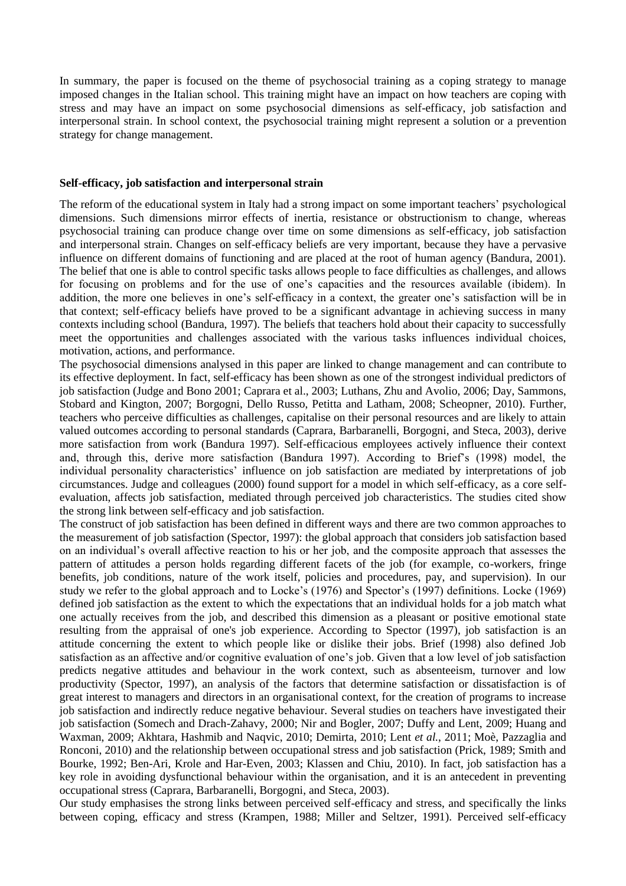In summary, the paper is focused on the theme of psychosocial training as a coping strategy to manage imposed changes in the Italian school. This training might have an impact on how teachers are coping with stress and may have an impact on some psychosocial dimensions as self-efficacy, job satisfaction and interpersonal strain. In school context, the psychosocial training might represent a solution or a prevention strategy for change management.

#### **Self-efficacy, job satisfaction and interpersonal strain**

The reform of the educational system in Italy had a strong impact on some important teachers' psychological dimensions. Such dimensions mirror effects of inertia, resistance or obstructionism to change, whereas psychosocial training can produce change over time on some dimensions as self-efficacy, job satisfaction and interpersonal strain. Changes on self-efficacy beliefs are very important, because they have a pervasive influence on different domains of functioning and are placed at the root of human agency (Bandura, 2001). The belief that one is able to control specific tasks allows people to face difficulties as challenges, and allows for focusing on problems and for the use of one's capacities and the resources available (ibidem). In addition, the more one believes in one's self-efficacy in a context, the greater one's satisfaction will be in that context; self-efficacy beliefs have proved to be a significant advantage in achieving success in many contexts including school (Bandura, 1997). The beliefs that teachers hold about their capacity to successfully meet the opportunities and challenges associated with the various tasks influences individual choices, motivation, actions, and performance.

The psychosocial dimensions analysed in this paper are linked to change management and can contribute to its effective deployment. In fact, self-efficacy has been shown as one of the strongest individual predictors of job satisfaction (Judge and Bono 2001; Caprara et al., 2003; Luthans, Zhu and Avolio, 2006; Day, Sammons, Stobard and Kington, 2007; Borgogni, Dello Russo, Petitta and Latham, 2008; Scheopner, 2010). Further, teachers who perceive difficulties as challenges, capitalise on their personal resources and are likely to attain valued outcomes according to personal standards (Caprara, Barbaranelli, Borgogni, and Steca, 2003), derive more satisfaction from work (Bandura 1997). Self-efficacious employees actively influence their context and, through this, derive more satisfaction (Bandura 1997). According to Brief's (1998) model, the individual personality characteristics' influence on job satisfaction are mediated by interpretations of job circumstances. Judge and colleagues (2000) found support for a model in which self-efficacy, as a core selfevaluation, affects job satisfaction, mediated through perceived job characteristics. The studies cited show the strong link between self-efficacy and job satisfaction.

The construct of job satisfaction has been defined in different ways and there are two common approaches to the measurement of job satisfaction (Spector, 1997): the global approach that considers job satisfaction based on an individual's overall affective reaction to his or her job, and the composite approach that assesses the pattern of attitudes a person holds regarding different facets of the job (for example, co-workers, fringe benefits, job conditions, nature of the work itself, policies and procedures, pay, and supervision). In our study we refer to the global approach and to Locke's (1976) and Spector's (1997) definitions. Locke (1969) defined job satisfaction as the extent to which the expectations that an individual holds for a job match what one actually receives from the job, and described this dimension as a pleasant or positive emotional state resulting from the appraisal of one's job experience. According to Spector (1997), job satisfaction is an attitude concerning the extent to which people like or dislike their jobs. Brief (1998) also defined Job satisfaction as an affective and/or cognitive evaluation of one's job. Given that a low level of job satisfaction predicts negative attitudes and behaviour in the work context, such as absenteeism, turnover and low productivity (Spector, 1997), an analysis of the factors that determine satisfaction or dissatisfaction is of great interest to managers and directors in an organisational context, for the creation of programs to increase job satisfaction and indirectly reduce negative behaviour. Several studies on teachers have investigated their job satisfaction (Somech and Drach-Zahavy, 2000; Nir and Bogler, 2007; Duffy and Lent, 2009; Huang and Waxman, 2009; Akhtara, Hashmib and Naqvic, 2010; Demirta, 2010; Lent *et al.*, 2011; Moè, Pazzaglia and Ronconi, 2010) and the relationship between occupational stress and job satisfaction (Prick, 1989; Smith and Bourke, 1992; Ben-Ari, Krole and Har-Even, 2003; Klassen and Chiu, 2010). In fact, job satisfaction has a key role in avoiding dysfunctional behaviour within the organisation, and it is an antecedent in preventing occupational stress (Caprara, Barbaranelli, Borgogni, and Steca, 2003).

Our study emphasises the strong links between perceived self-efficacy and stress, and specifically the links between coping, efficacy and stress (Krampen, 1988; Miller and Seltzer, 1991). Perceived self-efficacy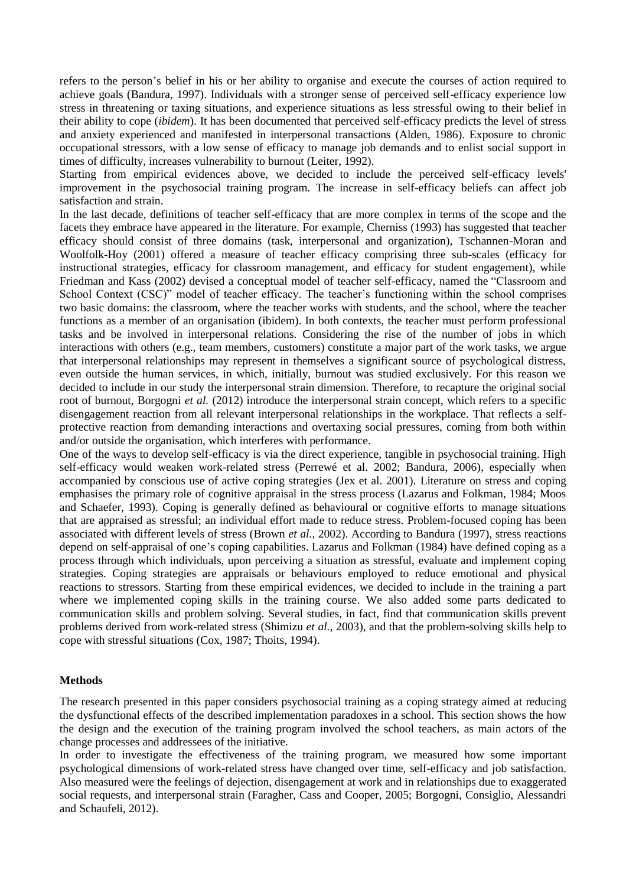refers to the person's belief in his or her ability to organise and execute the courses of action required to achieve goals (Bandura, 1997). Individuals with a stronger sense of perceived self-efficacy experience low stress in threatening or taxing situations, and experience situations as less stressful owing to their belief in their ability to cope (*ibidem*). It has been documented that perceived self-efficacy predicts the level of stress and anxiety experienced and manifested in interpersonal transactions (Alden, 1986). Exposure to chronic occupational stressors, with a low sense of efficacy to manage job demands and to enlist social support in times of difficulty, increases vulnerability to burnout (Leiter, 1992).

Starting from empirical evidences above, we decided to include the perceived self-efficacy levels' improvement in the psychosocial training program. The increase in self-efficacy beliefs can affect job satisfaction and strain.

In the last decade, definitions of teacher self-efficacy that are more complex in terms of the scope and the facets they embrace have appeared in the literature. For example, Cherniss (1993) has suggested that teacher efficacy should consist of three domains (task, interpersonal and organization), Tschannen-Moran and Woolfolk-Hoy (2001) offered a measure of teacher efficacy comprising three sub-scales (efficacy for instructional strategies, efficacy for classroom management, and efficacy for student engagement), while Friedman and Kass (2002) devised a conceptual model of teacher self-efficacy, named the "Classroom and School Context (CSC)" model of teacher efficacy. The teacher's functioning within the school comprises two basic domains: the classroom, where the teacher works with students, and the school, where the teacher functions as a member of an organisation (ibidem). In both contexts, the teacher must perform professional tasks and be involved in interpersonal relations. Considering the rise of the number of jobs in which interactions with others (e.g., team members, customers) constitute a major part of the work tasks, we argue that interpersonal relationships may represent in themselves a significant source of psychological distress, even outside the human services, in which, initially, burnout was studied exclusively. For this reason we decided to include in our study the interpersonal strain dimension. Therefore, to recapture the original social root of burnout, Borgogni *et al.* (2012) introduce the interpersonal strain concept, which refers to a specific disengagement reaction from all relevant interpersonal relationships in the workplace. That reflects a selfprotective reaction from demanding interactions and overtaxing social pressures, coming from both within and/or outside the organisation, which interferes with performance.

One of the ways to develop self-efficacy is via the direct experience, tangible in psychosocial training. High self-efficacy would weaken work-related stress (Perrewé et al. 2002; Bandura, 2006), especially when accompanied by conscious use of active coping strategies (Jex et al. 2001). Literature on stress and coping emphasises the primary role of cognitive appraisal in the stress process (Lazarus and Folkman, 1984; Moos and Schaefer, 1993). Coping is generally defined as behavioural or cognitive efforts to manage situations that are appraised as stressful; an individual effort made to reduce stress. Problem-focused coping has been associated with different levels of stress (Brown *et al.*, 2002). According to Bandura (1997), stress reactions depend on self-appraisal of one's coping capabilities. Lazarus and Folkman (1984) have defined coping as a process through which individuals, upon perceiving a situation as stressful, evaluate and implement coping strategies. Coping strategies are appraisals or behaviours employed to reduce emotional and physical reactions to stressors. Starting from these empirical evidences, we decided to include in the training a part where we implemented coping skills in the training course. We also added some parts dedicated to communication skills and problem solving. Several studies, in fact, find that communication skills prevent problems derived from work-related stress (Shimizu *et al.*, 2003), and that the problem-solving skills help to cope with stressful situations (Cox, 1987; Thoits, 1994).

## **Methods**

The research presented in this paper considers psychosocial training as a coping strategy aimed at reducing the dysfunctional effects of the described implementation paradoxes in a school. This section shows the how the design and the execution of the training program involved the school teachers, as main actors of the change processes and addressees of the initiative.

In order to investigate the effectiveness of the training program, we measured how some important psychological dimensions of work-related stress have changed over time, self-efficacy and job satisfaction. Also measured were the feelings of dejection, disengagement at work and in relationships due to exaggerated social requests, and interpersonal strain (Faragher, Cass and Cooper, 2005; Borgogni, Consiglio, Alessandri and Schaufeli, 2012).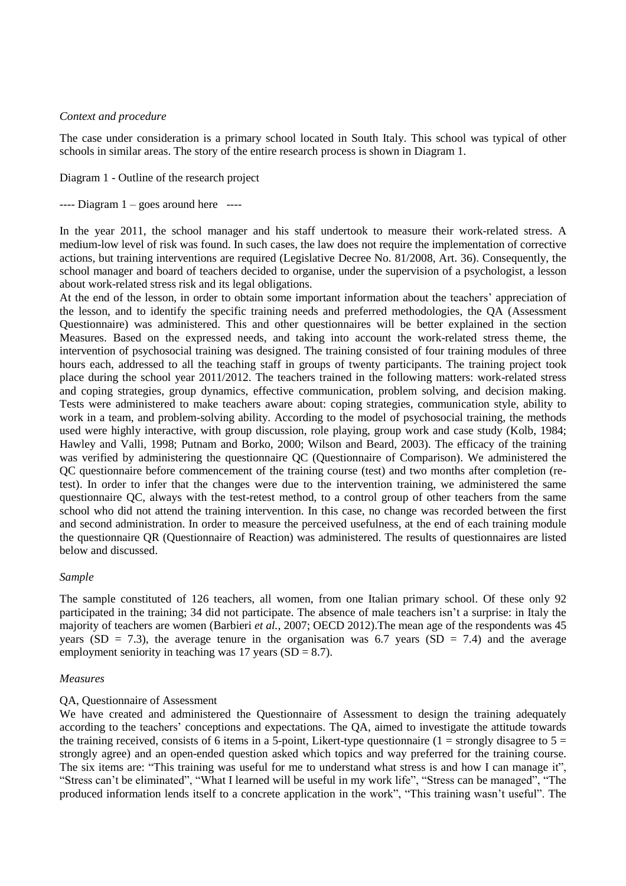## *Context and procedure*

The case under consideration is a primary school located in South Italy. This school was typical of other schools in similar areas. The story of the entire research process is shown in Diagram 1.

Diagram 1 - Outline of the research project

 $---$  Diagram  $1 -$  goes around here  $---$ 

In the year 2011, the school manager and his staff undertook to measure their work-related stress. A medium-low level of risk was found. In such cases, the law does not require the implementation of corrective actions, but training interventions are required (Legislative Decree No. 81/2008, Art. 36). Consequently, the school manager and board of teachers decided to organise, under the supervision of a psychologist, a lesson about work-related stress risk and its legal obligations.

At the end of the lesson, in order to obtain some important information about the teachers' appreciation of the lesson, and to identify the specific training needs and preferred methodologies, the QA (Assessment Questionnaire) was administered. This and other questionnaires will be better explained in the section Measures. Based on the expressed needs, and taking into account the work-related stress theme, the intervention of psychosocial training was designed. The training consisted of four training modules of three hours each, addressed to all the teaching staff in groups of twenty participants. The training project took place during the school year 2011/2012. The teachers trained in the following matters: work-related stress and coping strategies, group dynamics, effective communication, problem solving, and decision making. Tests were administered to make teachers aware about: coping strategies, communication style, ability to work in a team, and problem-solving ability. According to the model of psychosocial training, the methods used were highly interactive, with group discussion, role playing, group work and case study (Kolb, 1984; Hawley and Valli, 1998; Putnam and Borko, 2000; Wilson and Beard, 2003). The efficacy of the training was verified by administering the questionnaire QC (Questionnaire of Comparison). We administered the QC questionnaire before commencement of the training course (test) and two months after completion (retest). In order to infer that the changes were due to the intervention training, we administered the same questionnaire QC, always with the test-retest method, to a control group of other teachers from the same school who did not attend the training intervention. In this case, no change was recorded between the first and second administration. In order to measure the perceived usefulness, at the end of each training module the questionnaire QR (Questionnaire of Reaction) was administered. The results of questionnaires are listed below and discussed.

## *Sample*

The sample constituted of 126 teachers, all women, from one Italian primary school. Of these only 92 participated in the training; 34 did not participate. The absence of male teachers isn't a surprise: in Italy the majority of teachers are women (Barbieri *et al.*, 2007; OECD 2012).The mean age of the respondents was 45 years (SD = 7.3), the average tenure in the organisation was 6.7 years (SD = 7.4) and the average employment seniority in teaching was 17 years  $(SD = 8.7)$ .

#### *Measures*

## QA, Questionnaire of Assessment

We have created and administered the Questionnaire of Assessment to design the training adequately according to the teachers' conceptions and expectations. The QA, aimed to investigate the attitude towards the training received, consists of 6 items in a 5-point, Likert-type questionnaire ( $1 =$  strongly disagree to  $5 =$ strongly agree) and an open-ended question asked which topics and way preferred for the training course. The six items are: "This training was useful for me to understand what stress is and how I can manage it", "Stress can't be eliminated", "What I learned will be useful in my work life", "Stress can be managed", "The produced information lends itself to a concrete application in the work", "This training wasn't useful". The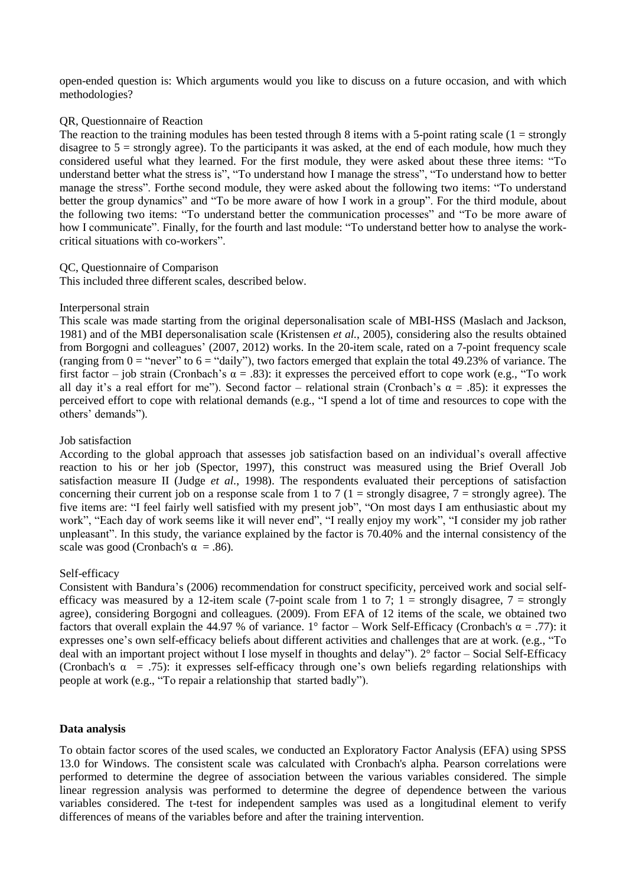open-ended question is: Which arguments would you like to discuss on a future occasion, and with which methodologies?

## QR, Questionnaire of Reaction

The reaction to the training modules has been tested through 8 items with a 5-point rating scale  $(1 = \text{strongly})$ disagree to  $5 =$  strongly agree). To the participants it was asked, at the end of each module, how much they considered useful what they learned. For the first module, they were asked about these three items: "To understand better what the stress is", "To understand how I manage the stress", "To understand how to better manage the stress". Forthe second module, they were asked about the following two items: "To understand better the group dynamics" and "To be more aware of how I work in a group". For the third module, about the following two items: "To understand better the communication processes" and "To be more aware of how I communicate". Finally, for the fourth and last module: "To understand better how to analyse the workcritical situations with co-workers".

## QC, Questionnaire of Comparison

This included three different scales, described below.

## Interpersonal strain

This scale was made starting from the original depersonalisation scale of MBI-HSS (Maslach and Jackson, 1981) and of the MBI depersonalisation scale (Kristensen *et al.*, 2005), considering also the results obtained from Borgogni and colleagues' (2007, 2012) works. In the 20-item scale, rated on a 7-point frequency scale (ranging from  $0 =$  "never" to  $6 =$  "daily"), two factors emerged that explain the total 49.23% of variance. The first factor – job strain (Cronbach's  $\alpha = .83$ ): it expresses the perceived effort to cope work (e.g., "To work all day it's a real effort for me"). Second factor – relational strain (Cronbach's  $\alpha = .85$ ): it expresses the perceived effort to cope with relational demands (e.g., "I spend a lot of time and resources to cope with the others' demands").

## Job satisfaction

According to the global approach that assesses job satisfaction based on an individual's overall affective reaction to his or her job (Spector, 1997), this construct was measured using the Brief Overall Job satisfaction measure II (Judge *et al.*, 1998). The respondents evaluated their perceptions of satisfaction concerning their current job on a response scale from 1 to 7 (1 = strongly disagree,  $7$  = strongly agree). The five items are: "I feel fairly well satisfied with my present job", "On most days I am enthusiastic about my work", "Each day of work seems like it will never end", "I really enjoy my work", "I consider my job rather unpleasant". In this study, the variance explained by the factor is 70.40% and the internal consistency of the scale was good (Cronbach's  $\alpha = .86$ ).

## Self-efficacy

Consistent with Bandura's (2006) recommendation for construct specificity, perceived work and social selfefficacy was measured by a 12-item scale (7-point scale from 1 to 7; 1 = strongly disagree,  $7 =$  strongly agree), considering Borgogni and colleagues*.* (2009). From EFA of 12 items of the scale, we obtained two factors that overall explain the 44.97 % of variance. 1° factor – Work Self-Efficacy (Cronbach's  $\alpha = .77$ ): it expresses one's own self-efficacy beliefs about different activities and challenges that are at work. (e.g., "To deal with an important project without I lose myself in thoughts and delay"). 2° factor – Social Self-Efficacy (Cronbach's  $\alpha$  = .75): it expresses self-efficacy through one's own beliefs regarding relationships with people at work (e.g., "To repair a relationship that started badly").

## **Data analysis**

To obtain factor scores of the used scales, we conducted an Exploratory Factor Analysis (EFA) using SPSS 13.0 for Windows. The consistent scale was calculated with Cronbach's alpha. Pearson correlations were performed to determine the degree of association between the various variables considered. The simple linear regression analysis was performed to determine the degree of dependence between the various variables considered. The t-test for independent samples was used as a longitudinal element to verify differences of means of the variables before and after the training intervention.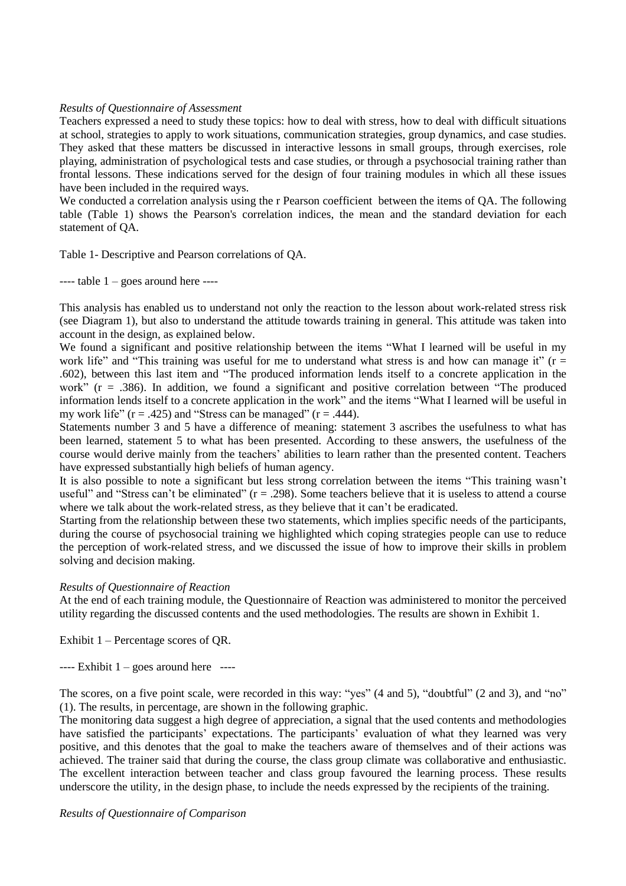## *Results of Questionnaire of Assessment*

Teachers expressed a need to study these topics: how to deal with stress, how to deal with difficult situations at school, strategies to apply to work situations, communication strategies, group dynamics, and case studies. They asked that these matters be discussed in interactive lessons in small groups, through exercises, role playing, administration of psychological tests and case studies, or through a psychosocial training rather than frontal lessons. These indications served for the design of four training modules in which all these issues have been included in the required ways.

We conducted a correlation analysis using the r Pearson coefficient between the items of QA. The following table (Table 1) shows the Pearson's correlation indices, the mean and the standard deviation for each statement of QA.

Table 1- Descriptive and Pearson correlations of QA.

 $---$  table  $1 - goes$  around here  $---$ 

This analysis has enabled us to understand not only the reaction to the lesson about work-related stress risk (see Diagram 1), but also to understand the attitude towards training in general. This attitude was taken into account in the design, as explained below.

We found a significant and positive relationship between the items "What I learned will be useful in my work life" and "This training was useful for me to understand what stress is and how can manage it"  $(r =$ .602), between this last item and "The produced information lends itself to a concrete application in the work"  $(r = .386)$ . In addition, we found a significant and positive correlation between "The produced" information lends itself to a concrete application in the work" and the items "What I learned will be useful in my work life"  $(r = .425)$  and "Stress can be managed"  $(r = .444)$ .

Statements number 3 and 5 have a difference of meaning: statement 3 ascribes the usefulness to what has been learned, statement 5 to what has been presented. According to these answers, the usefulness of the course would derive mainly from the teachers' abilities to learn rather than the presented content. Teachers have expressed substantially high beliefs of human agency.

It is also possible to note a significant but less strong correlation between the items "This training wasn't useful" and "Stress can't be eliminated" ( $r = .298$ ). Some teachers believe that it is useless to attend a course where we talk about the work-related stress, as they believe that it can't be eradicated.

Starting from the relationship between these two statements, which implies specific needs of the participants, during the course of psychosocial training we highlighted which coping strategies people can use to reduce the perception of work-related stress, and we discussed the issue of how to improve their skills in problem solving and decision making.

# *Results of Questionnaire of Reaction*

At the end of each training module, the Questionnaire of Reaction was administered to monitor the perceived utility regarding the discussed contents and the used methodologies. The results are shown in Exhibit 1.

Exhibit 1 – Percentage scores of QR.

 $---$  Exhibit  $1 - goes$  around here  $---$ 

The scores, on a five point scale, were recorded in this way: "yes" (4 and 5), "doubtful" (2 and 3), and "no" (1). The results, in percentage, are shown in the following graphic.

The monitoring data suggest a high degree of appreciation, a signal that the used contents and methodologies have satisfied the participants' expectations. The participants' evaluation of what they learned was very positive, and this denotes that the goal to make the teachers aware of themselves and of their actions was achieved. The trainer said that during the course, the class group climate was collaborative and enthusiastic. The excellent interaction between teacher and class group favoured the learning process. These results underscore the utility, in the design phase, to include the needs expressed by the recipients of the training.

## *Results of Questionnaire of Comparison*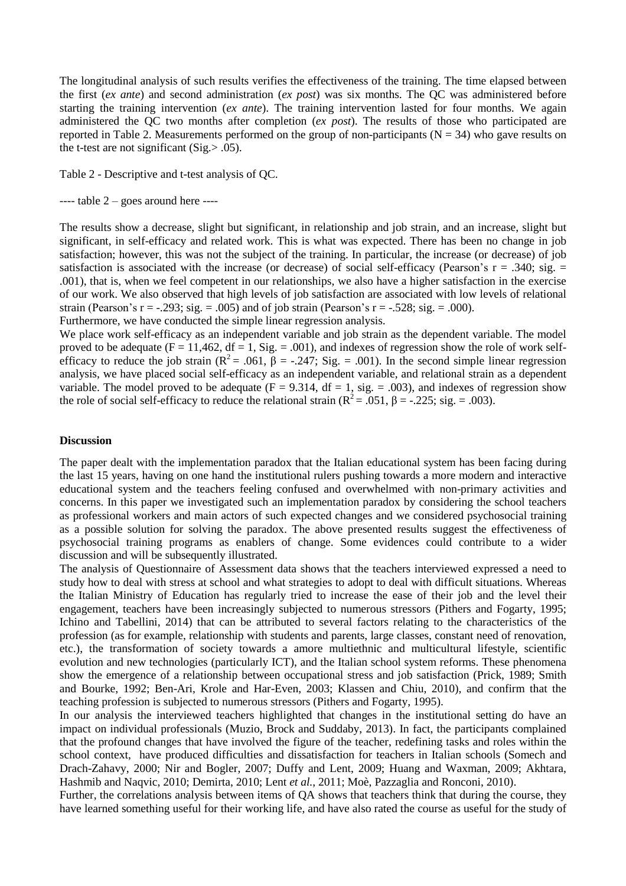The longitudinal analysis of such results verifies the effectiveness of the training. The time elapsed between the first (*ex ante*) and second administration (*ex post*) was six months. The QC was administered before starting the training intervention (*ex ante*). The training intervention lasted for four months. We again administered the QC two months after completion (*ex post*). The results of those who participated are reported in Table 2. Measurements performed on the group of non-participants ( $N = 34$ ) who gave results on the t-test are not significant (Sig.> .05).

Table 2 - Descriptive and t-test analysis of QC.

 $---$  table  $2 - goes$  around here  $---$ 

The results show a decrease, slight but significant, in relationship and job strain, and an increase, slight but significant, in self-efficacy and related work. This is what was expected. There has been no change in job satisfaction; however, this was not the subject of the training. In particular, the increase (or decrease) of job satisfaction is associated with the increase (or decrease) of social self-efficacy (Pearson's  $r = .340$ ; sig.  $=$ .001), that is, when we feel competent in our relationships, we also have a higher satisfaction in the exercise of our work. We also observed that high levels of job satisfaction are associated with low levels of relational strain (Pearson's r =  $-0.293$ ; sig. =  $0.005$ ) and of job strain (Pearson's r =  $-0.528$ ; sig. =  $0.000$ ).

Furthermore, we have conducted the simple linear regression analysis.

We place work self-efficacy as an independent variable and job strain as the dependent variable. The model proved to be adequate ( $F = 11,462$ ,  $df = 1$ ,  $Sig = .001$ ), and indexes of regression show the role of work selfefficacy to reduce the job strain ( $\mathbb{R}^2 = .061$ ,  $\beta = -.247$ ; Sig. = .001). In the second simple linear regression analysis, we have placed social self-efficacy as an independent variable, and relational strain as a dependent variable. The model proved to be adequate ( $F = 9.314$ ,  $df = 1$ , sig. = .003), and indexes of regression show the role of social self-efficacy to reduce the relational strain ( $\mathbb{R}^2 = .051$ ,  $\beta = -.225$ ; sig. = .003).

## **Discussion**

The paper dealt with the implementation paradox that the Italian educational system has been facing during the last 15 years, having on one hand the institutional rulers pushing towards a more modern and interactive educational system and the teachers feeling confused and overwhelmed with non-primary activities and concerns. In this paper we investigated such an implementation paradox by considering the school teachers as professional workers and main actors of such expected changes and we considered psychosocial training as a possible solution for solving the paradox. The above presented results suggest the effectiveness of psychosocial training programs as enablers of change. Some evidences could contribute to a wider discussion and will be subsequently illustrated.

The analysis of Questionnaire of Assessment data shows that the teachers interviewed expressed a need to study how to deal with stress at school and what strategies to adopt to deal with difficult situations. Whereas the Italian Ministry of Education has regularly tried to increase the ease of their job and the level their engagement, teachers have been increasingly subjected to numerous stressors (Pithers and Fogarty, 1995; Ichino and Tabellini, 2014) that can be attributed to several factors relating to the characteristics of the profession (as for example, relationship with students and parents, large classes, constant need of renovation, etc.), the transformation of society towards a amore multiethnic and multicultural lifestyle, scientific evolution and new technologies (particularly ICT), and the Italian school system reforms. These phenomena show the emergence of a relationship between occupational stress and job satisfaction (Prick, 1989; Smith and Bourke, 1992; Ben-Ari, Krole and Har-Even, 2003; Klassen and Chiu, 2010), and confirm that the teaching profession is subjected to numerous stressors (Pithers and Fogarty, 1995).

In our analysis the interviewed teachers highlighted that changes in the institutional setting do have an impact on individual professionals (Muzio, Brock and Suddaby, 2013). In fact, the participants complained that the profound changes that have involved the figure of the teacher, redefining tasks and roles within the school context, have produced difficulties and dissatisfaction for teachers in Italian schools (Somech and Drach-Zahavy, 2000; Nir and Bogler, 2007; Duffy and Lent, 2009; Huang and Waxman, 2009; Akhtara, Hashmib and Naqvic, 2010; Demirta, 2010; Lent *et al.*, 2011; Moè, Pazzaglia and Ronconi, 2010).

Further, the correlations analysis between items of QA shows that teachers think that during the course, they have learned something useful for their working life, and have also rated the course as useful for the study of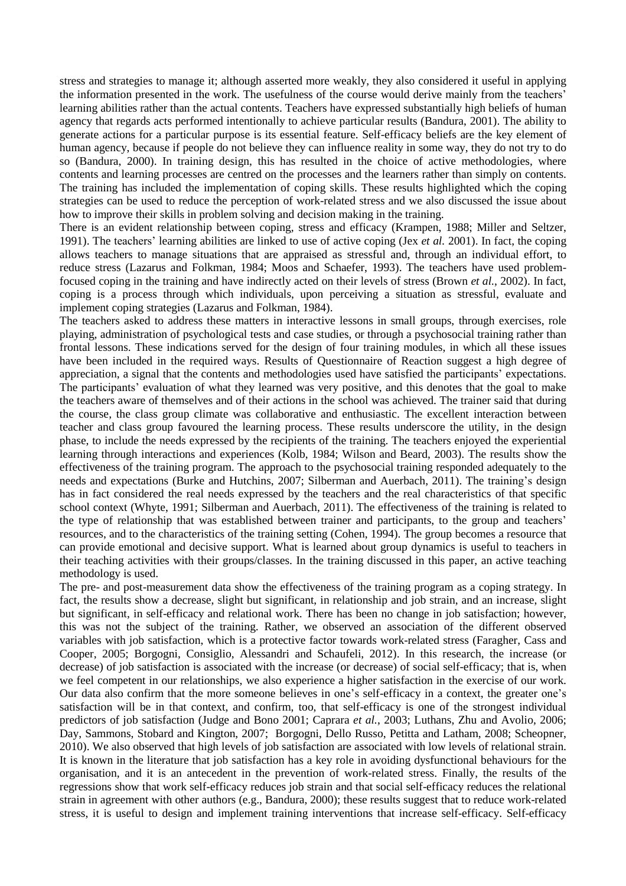stress and strategies to manage it; although asserted more weakly, they also considered it useful in applying the information presented in the work. The usefulness of the course would derive mainly from the teachers' learning abilities rather than the actual contents. Teachers have expressed substantially high beliefs of human agency that regards acts performed intentionally to achieve particular results (Bandura, 2001). The ability to generate actions for a particular purpose is its essential feature. Self-efficacy beliefs are the key element of human agency, because if people do not believe they can influence reality in some way, they do not try to do so (Bandura, 2000). In training design, this has resulted in the choice of active methodologies, where contents and learning processes are centred on the processes and the learners rather than simply on contents. The training has included the implementation of coping skills. These results highlighted which the coping strategies can be used to reduce the perception of work-related stress and we also discussed the issue about how to improve their skills in problem solving and decision making in the training.

There is an evident relationship between coping, stress and efficacy (Krampen, 1988; Miller and Seltzer, 1991). The teachers' learning abilities are linked to use of active coping (Jex *et al.* 2001). In fact, the coping allows teachers to manage situations that are appraised as stressful and, through an individual effort, to reduce stress (Lazarus and Folkman, 1984; Moos and Schaefer, 1993). The teachers have used problemfocused coping in the training and have indirectly acted on their levels of stress (Brown *et al.*, 2002). In fact, coping is a process through which individuals, upon perceiving a situation as stressful, evaluate and implement coping strategies (Lazarus and Folkman, 1984).

The teachers asked to address these matters in interactive lessons in small groups, through exercises, role playing, administration of psychological tests and case studies, or through a psychosocial training rather than frontal lessons. These indications served for the design of four training modules, in which all these issues have been included in the required ways. Results of Questionnaire of Reaction suggest a high degree of appreciation, a signal that the contents and methodologies used have satisfied the participants' expectations. The participants' evaluation of what they learned was very positive, and this denotes that the goal to make the teachers aware of themselves and of their actions in the school was achieved. The trainer said that during the course, the class group climate was collaborative and enthusiastic. The excellent interaction between teacher and class group favoured the learning process. These results underscore the utility, in the design phase, to include the needs expressed by the recipients of the training. The teachers enjoyed the experiential learning through interactions and experiences (Kolb, 1984; Wilson and Beard, 2003). The results show the effectiveness of the training program. The approach to the psychosocial training responded adequately to the needs and expectations (Burke and Hutchins, 2007; Silberman and Auerbach, 2011). The training's design has in fact considered the real needs expressed by the teachers and the real characteristics of that specific school context (Whyte, 1991; Silberman and Auerbach, 2011). The effectiveness of the training is related to the type of relationship that was established between trainer and participants, to the group and teachers' resources, and to the characteristics of the training setting (Cohen, 1994). The group becomes a resource that can provide emotional and decisive support. What is learned about group dynamics is useful to teachers in their teaching activities with their groups/classes. In the training discussed in this paper, an active teaching methodology is used.

The pre- and post-measurement data show the effectiveness of the training program as a coping strategy. In fact, the results show a decrease, slight but significant, in relationship and job strain, and an increase, slight but significant, in self-efficacy and relational work. There has been no change in job satisfaction; however, this was not the subject of the training. Rather, we observed an association of the different observed variables with job satisfaction, which is a protective factor towards work-related stress (Faragher, Cass and Cooper, 2005; Borgogni, Consiglio, Alessandri and Schaufeli, 2012). In this research, the increase (or decrease) of job satisfaction is associated with the increase (or decrease) of social self-efficacy; that is, when we feel competent in our relationships, we also experience a higher satisfaction in the exercise of our work. Our data also confirm that the more someone believes in one's self-efficacy in a context, the greater one's satisfaction will be in that context, and confirm, too, that self-efficacy is one of the strongest individual predictors of job satisfaction (Judge and Bono 2001; Caprara *et al.*, 2003; Luthans, Zhu and Avolio, 2006; Day, Sammons, Stobard and Kington, 2007; Borgogni, Dello Russo, Petitta and Latham, 2008; Scheopner, 2010). We also observed that high levels of job satisfaction are associated with low levels of relational strain. It is known in the literature that job satisfaction has a key role in avoiding dysfunctional behaviours for the organisation, and it is an antecedent in the prevention of work-related stress. Finally, the results of the regressions show that work self-efficacy reduces job strain and that social self-efficacy reduces the relational strain in agreement with other authors (e.g., Bandura, 2000); these results suggest that to reduce work-related stress, it is useful to design and implement training interventions that increase self-efficacy. Self-efficacy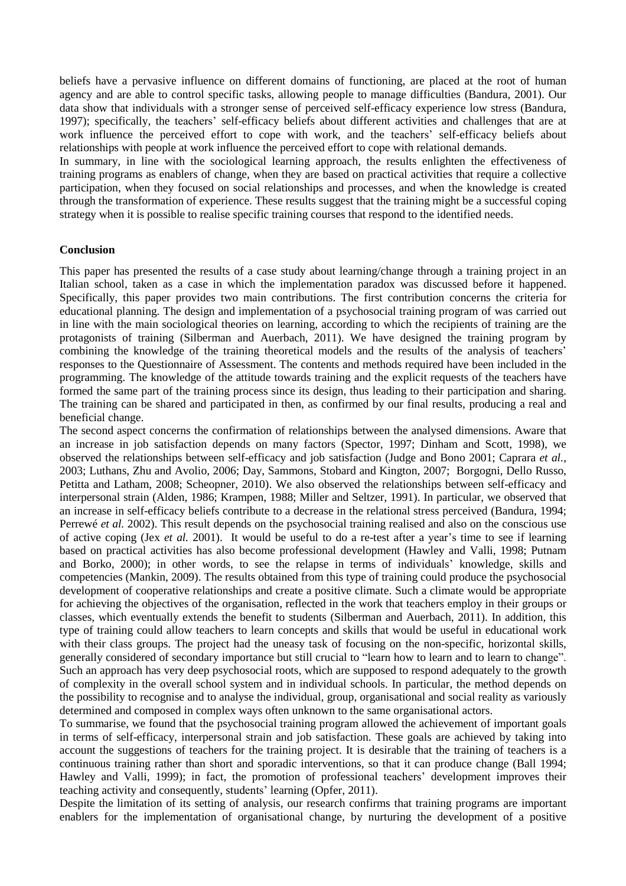beliefs have a pervasive influence on different domains of functioning, are placed at the root of human agency and are able to control specific tasks, allowing people to manage difficulties (Bandura, 2001). Our data show that individuals with a stronger sense of perceived self-efficacy experience low stress (Bandura, 1997); specifically, the teachers' self-efficacy beliefs about different activities and challenges that are at work influence the perceived effort to cope with work, and the teachers' self-efficacy beliefs about relationships with people at work influence the perceived effort to cope with relational demands.

In summary, in line with the sociological learning approach, the results enlighten the effectiveness of training programs as enablers of change, when they are based on practical activities that require a collective participation, when they focused on social relationships and processes, and when the knowledge is created through the transformation of experience. These results suggest that the training might be a successful coping strategy when it is possible to realise specific training courses that respond to the identified needs.

## **Conclusion**

This paper has presented the results of a case study about learning/change through a training project in an Italian school, taken as a case in which the implementation paradox was discussed before it happened. Specifically, this paper provides two main contributions. The first contribution concerns the criteria for educational planning. The design and implementation of a psychosocial training program of was carried out in line with the main sociological theories on learning, according to which the recipients of training are the protagonists of training (Silberman and Auerbach, 2011). We have designed the training program by combining the knowledge of the training theoretical models and the results of the analysis of teachers' responses to the Questionnaire of Assessment. The contents and methods required have been included in the programming. The knowledge of the attitude towards training and the explicit requests of the teachers have formed the same part of the training process since its design, thus leading to their participation and sharing. The training can be shared and participated in then, as confirmed by our final results, producing a real and beneficial change.

The second aspect concerns the confirmation of relationships between the analysed dimensions. Aware that an increase in job satisfaction depends on many factors (Spector, 1997; Dinham and Scott, 1998), we observed the relationships between self-efficacy and job satisfaction (Judge and Bono 2001; Caprara *et al.*, 2003; Luthans, Zhu and Avolio, 2006; Day, Sammons, Stobard and Kington, 2007; Borgogni, Dello Russo, Petitta and Latham, 2008; Scheopner, 2010). We also observed the relationships between self-efficacy and interpersonal strain (Alden, 1986; Krampen, 1988; Miller and Seltzer, 1991). In particular, we observed that an increase in self-efficacy beliefs contribute to a decrease in the relational stress perceived (Bandura, 1994; Perrewé *et al.* 2002). This result depends on the psychosocial training realised and also on the conscious use of active coping (Jex *et al.* 2001). It would be useful to do a re-test after a year's time to see if learning based on practical activities has also become professional development (Hawley and Valli, 1998; Putnam and Borko, 2000); in other words, to see the relapse in terms of individuals' knowledge, skills and competencies (Mankin, 2009). The results obtained from this type of training could produce the psychosocial development of cooperative relationships and create a positive climate. Such a climate would be appropriate for achieving the objectives of the organisation, reflected in the work that teachers employ in their groups or classes, which eventually extends the benefit to students (Silberman and Auerbach, 2011). In addition, this type of training could allow teachers to learn concepts and skills that would be useful in educational work with their class groups. The project had the uneasy task of focusing on the non-specific, horizontal skills, generally considered of secondary importance but still crucial to "learn how to learn and to learn to change". Such an approach has very deep psychosocial roots, which are supposed to respond adequately to the growth of complexity in the overall school system and in individual schools. In particular, the method depends on the possibility to recognise and to analyse the individual, group, organisational and social reality as variously determined and composed in complex ways often unknown to the same organisational actors.

To summarise, we found that the psychosocial training program allowed the achievement of important goals in terms of self-efficacy, interpersonal strain and job satisfaction. These goals are achieved by taking into account the suggestions of teachers for the training project. It is desirable that the training of teachers is a continuous training rather than short and sporadic interventions, so that it can produce change (Ball 1994; Hawley and Valli, 1999); in fact, the promotion of professional teachers' development improves their teaching activity and consequently, students' learning (Opfer, 2011).

Despite the limitation of its setting of analysis, our research confirms that training programs are important enablers for the implementation of organisational change, by nurturing the development of a positive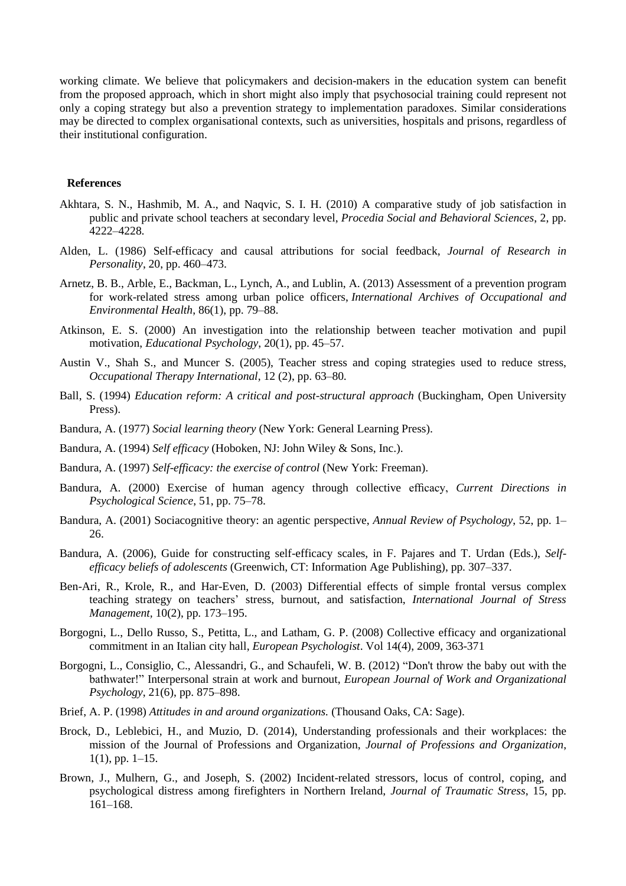working climate. We believe that policymakers and decision-makers in the education system can benefit from the proposed approach, which in short might also imply that psychosocial training could represent not only a coping strategy but also a prevention strategy to implementation paradoxes. Similar considerations may be directed to complex organisational contexts, such as universities, hospitals and prisons, regardless of their institutional configuration.

#### **References**

- Akhtara, S. N., Hashmib, M. A., and Naqvic, S. I. H. (2010) A comparative study of job satisfaction in public and private school teachers at secondary level, *Procedia Social and Behavioral Sciences*, 2, pp. 4222–4228.
- Alden, L. (1986) Self-efficacy and causal attributions for social feedback, *Journal of Research in Personality*, 20, pp. 460–473.
- Arnetz, B. B., Arble, E., Backman, L., Lynch, A., and Lublin, A. (2013) Assessment of a prevention program for work-related stress among urban police officers, *International Archives of Occupational and Environmental Health*, 86(1), pp. 79–88.
- Atkinson, E. S. (2000) An investigation into the relationship between teacher motivation and pupil motivation, *Educational Psychology*, 20(1), pp. 45–57.
- Austin V., Shah S., and Muncer S. (2005), Teacher stress and coping strategies used to reduce stress, *Occupational Therapy International*, 12 (2), pp. 63–80.
- Ball, S. (1994) *Education reform: A critical and post-structural approach* (Buckingham, Open University Press).
- Bandura, A. (1977) *Social learning theory* (New York: General Learning Press).
- Bandura, A. (1994) *Self efficacy* (Hoboken, NJ: John Wiley & Sons, Inc.).
- Bandura, A. (1997) *Self-efficacy: the exercise of control* (New York: Freeman).
- Bandura, A. (2000) Exercise of human agency through collective efficacy, *Current Directions in Psychological Science*, 51, pp. 75–78.
- Bandura, A. (2001) Sociacognitive theory: an agentic perspective, *Annual Review of Psychology*, 52, pp. 1– 26.
- Bandura, A. (2006), Guide for constructing self-efficacy scales, in F. Pajares and T. Urdan (Eds.), *Selfefficacy beliefs of adolescents* (Greenwich, CT: Information Age Publishing), pp. 307–337.
- Ben-Ari, R., Krole, R., and Har-Even, D. (2003) Differential effects of simple frontal versus complex teaching strategy on teachers' stress, burnout, and satisfaction, *International Journal of Stress Management,* 10(2), pp. 173–195.
- Borgogni, L., Dello Russo, S., Petitta, L., and Latham, G. P. (2008) Collective efficacy and organizational commitment in an Italian city hall, *European Psychologist*. Vol 14(4), 2009, 363-371
- Borgogni, L., Consiglio, C., Alessandri, G., and Schaufeli, W. B. (2012) "Don't throw the baby out with the bathwater!" Interpersonal strain at work and burnout, *European Journal of Work and Organizational Psychology*, 21(6), pp. 875–898.
- Brief, A. P. (1998) *Attitudes in and around organizations.* (Thousand Oaks, CA: Sage).
- Brock, D., Leblebici, H., and Muzio, D. (2014), Understanding professionals and their workplaces: the mission of the Journal of Professions and Organization, *Journal of Professions and Organization*, 1(1), pp. 1–15.
- Brown, J., Mulhern, G., and Joseph, S. (2002) Incident-related stressors, locus of control, coping, and psychological distress among firefighters in Northern Ireland, *Journal of Traumatic Stress*, 15, pp. 161–168.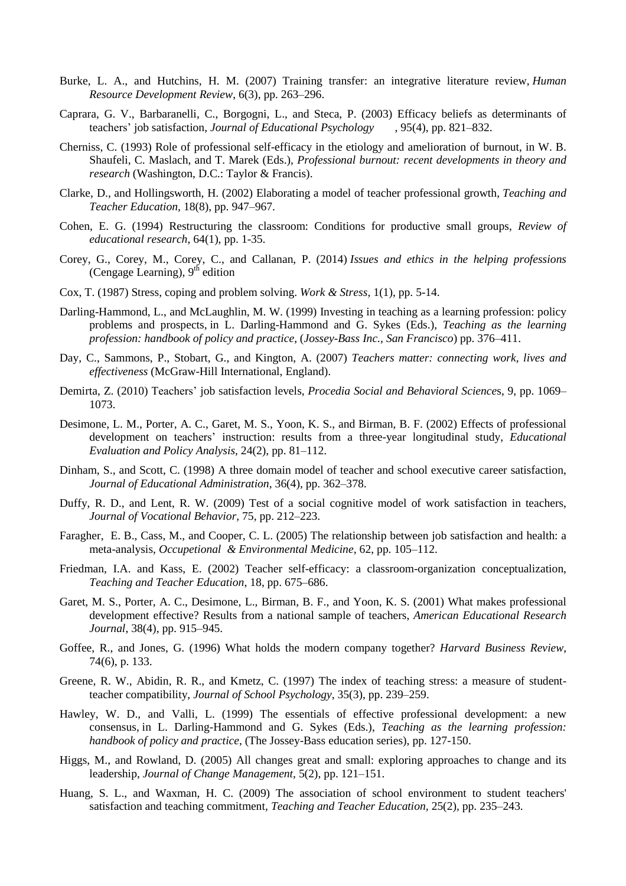- Burke, L. A., and Hutchins, H. M. (2007) Training transfer: an integrative literature review, *Human Resource Development Review*, 6(3), pp. 263–296.
- Caprara, G. V., Barbaranelli, C., Borgogni, L., and Steca, P. (2003) Efficacy beliefs as determinants of teachers' job satisfaction, *Journal of Educational Psychology* , 95(4), pp. 821–832.
- Cherniss, C. (1993) Role of professional self-efficacy in the etiology and amelioration of burnout, in W. B. Shaufeli, C. Maslach, and T. Marek (Eds.), *Professional burnout: recent developments in theory and research* (Washington, D.C.: Taylor & Francis).
- Clarke, D., and Hollingsworth, H. (2002) Elaborating a model of teacher professional growth, *Teaching and Teacher Education*, 18(8), pp. 947–967.
- Cohen, E. G. (1994) Restructuring the classroom: Conditions for productive small groups, *Review of educational research*, 64(1), pp. 1-35.
- Corey, G., Corey, M., Corey, C., and Callanan, P. (2014) *Issues and ethics in the helping professions* (Cengage Learning), 9<sup>th</sup> edition
- Cox, T. (1987) Stress, coping and problem solving. *Work & Stress,* 1(1), pp. 5-14.
- Darling-Hammond, L., and McLaughlin, M. W. (1999) Investing in teaching as a learning profession: policy problems and prospects, in L. Darling-Hammond and G. Sykes (Eds.), *Teaching as the learning profession: handbook of policy and practice*, (*Jossey-Bass Inc., San Francisco*) pp. 376–411.
- Day, C., Sammons, P., Stobart, G., and Kington, A. (2007) *Teachers matter: connecting work, lives and effectiveness* (McGraw-Hill International, England).
- Demirta, Z. (2010) Teachers' job satisfaction levels, *Procedia Social and Behavioral Science*s, 9, pp. 1069– 1073.
- Desimone, L. M., Porter, A. C., Garet, M. S., Yoon, K. S., and Birman, B. F. (2002) Effects of professional development on teachers' instruction: results from a three-year longitudinal study, *Educational Evaluation and Policy Analysis*, 24(2), pp. 81–112.
- Dinham, S., and Scott, C. (1998) A three domain model of teacher and school executive career satisfaction, *Journal of Educational Administration*, 36(4), pp. 362–378.
- Duffy, R. D., and Lent, R. W. (2009) Test of a social cognitive model of work satisfaction in teachers, *Journal of Vocational Behavior,* 75*,* pp. 212–223.
- Faragher, E. B., Cass, M., and Cooper, C. L. (2005) The relationship between job satisfaction and health: a meta-analysis, *Occupetional & Environmental Medicine*, 62, pp. 105–112.
- Friedman, I.A. and Kass, E. (2002) Teacher self-efficacy: a classroom-organization conceptualization, *Teaching and Teacher Education*, 18, pp. 675–686.
- Garet, M. S., Porter, A. C., Desimone, L., Birman, B. F., and Yoon, K. S. (2001) What makes professional development effective? Results from a national sample of teachers, *American Educational Research Journal*, 38(4), pp. 915–945.
- Goffee, R., and Jones, G. (1996) What holds the modern company together? *Harvard Business Review*, 74(6), p. 133.
- Greene, R. W., Abidin, R. R., and Kmetz, C. (1997) The index of teaching stress: a measure of studentteacher compatibility, *Journal of School Psychology*, 35(3), pp. 239–259.
- Hawley, W. D., and Valli, L. (1999) The essentials of effective professional development: a new consensus, in L. Darling-Hammond and G. Sykes (Eds.), *Teaching as the learning profession: handbook of policy and practice*, (The [Jossey-Bass](http://www.google.it/search?hl=it&tbo=p&tbm=bks&q=bibliogroup:%2522The+Jossey-Bass+education+series%2522&source=gbs_metadata_r&cad=3) education series), pp. 127-150.
- Higgs, M., and Rowland, D. (2005) All changes great and small: exploring approaches to change and its leadership, *Journal of Change Management*, 5(2), pp. 121–151.
- Huang, S. L., and Waxman, H. C. (2009) The association of school environment to student teachers' satisfaction and teaching commitment*, Teaching and Teacher [Education,](http://www.sciencedirect.com/science/journal/0742051X)* 25(2), pp. 235–243.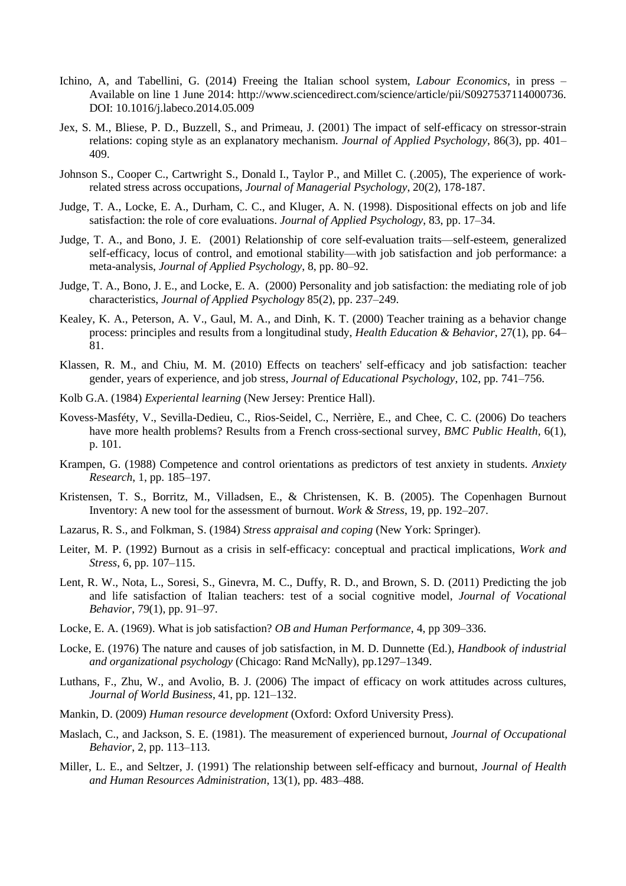- Ichino, A, and Tabellini, G. (2014) Freeing the Italian school system, *Labour Economics*, in press Available on line 1 June 2014: http://www.sciencedirect.com/science/article/pii/S0927537114000736. DOI: 10.1016/j.labeco.2014.05.009
- Jex, S. M., Bliese, P. D., Buzzell, S., and Primeau, J. (2001) The impact of self-efficacy on stressor-strain relations: coping style as an explanatory mechanism. *Journal of Applied Psychology*, 86(3), pp. 401– 409.
- Johnson S., Cooper C., Cartwright S., Donald I., Taylor P., and Millet C. (.2005), The experience of work‐ related stress across occupations, *Journal of Managerial Psychology*, 20(2), 178-187.
- Judge, T. A., Locke, E. A., Durham, C. C., and Kluger, A. N. (1998). Dispositional effects on job and life satisfaction: the role of core evaluations. *Journal of Applied Psychology*, 83, pp. 17–34.
- Judge, T. A., and Bono, J. E. (2001) Relationship of core self-evaluation traits—self-esteem, generalized self-efficacy, locus of control, and emotional stability—with job satisfaction and job performance: a meta-analysis, *Journal of Applied Psychology*, 8, pp. 80–92.
- Judge, T. A., Bono, J. E., and Locke, E. A. (2000) Personality and job satisfaction: the mediating role of job characteristics, *Journal of Applied Psychology* 85(2), pp. 237–249.
- Kealey, K. A., Peterson, A. V., Gaul, M. A., and Dinh, K. T. (2000) Teacher training as a behavior change process: principles and results from a longitudinal study, *Health Education & Behavior*, 27(1), pp. 64– 81.
- Klassen, R. M., and Chiu, M. M. (2010) Effects on teachers' self-efficacy and job satisfaction: teacher gender, years of experience, and job stress, *Journal of Educational Psychology*, 102*,* pp. 741–756.
- Kolb G.A. (1984) *Experiental learning* (New Jersey: Prentice Hall).
- Kovess-Masféty, V., Sevilla-Dedieu, C., Rios-Seidel, C., Nerrière, E., and Chee, C. C. (2006) Do teachers have more health problems? Results from a French cross-sectional survey, *BMC Public Health*, 6(1), p. 101.
- Krampen, G. (1988) Competence and control orientations as predictors of test anxiety in students. *Anxiety Research*, 1, pp. 185–197.
- Kristensen, T. S., Borritz, M., Villadsen, E., & Christensen, K. B. (2005). The Copenhagen Burnout Inventory: A new tool for the assessment of burnout. *Work & Stress*, 19, pp. 192–207.
- Lazarus, R. S., and Folkman, S. (1984) *Stress appraisal and coping* (New York: Springer).
- Leiter, M. P. (1992) Burnout as a crisis in self-efficacy: conceptual and practical implications, *Work and Stress*, 6, pp. 107–115.
- Lent, R. W., Nota, L., Soresi, S., Ginevra, M. C., Duffy, R. D., and Brown, S. D. (2011) Predicting the job and life satisfaction of Italian teachers: test of a social cognitive model, *Journal of Vocational Behavior*, 79(1), pp. 91–97.
- Locke, E. A. (1969). What is job satisfaction? *OB and Human Performance*, 4, pp 309–336.
- Locke, E. (1976) The nature and causes of job satisfaction, in M. D. Dunnette (Ed.), *Handbook of industrial and organizational psychology* (Chicago: Rand McNally), pp.1297–1349.
- Luthans, F., Zhu, W., and Avolio, B. J. (2006) The impact of efficacy on work attitudes across cultures, *Journal of World Business*, 41, pp. 121–132.
- Mankin, D. (2009) *Human resource development* (Oxford: Oxford University Press).
- Maslach, C., and Jackson, S. E. (1981). The measurement of experienced burnout, *Journal of Occupational Behavior*, 2, pp. 113–113.
- Miller, L. E., and Seltzer, J. (1991) The relationship between self-efficacy and burnout, *Journal of Health and Human Resources Administration*, 13(1), pp. 483–488.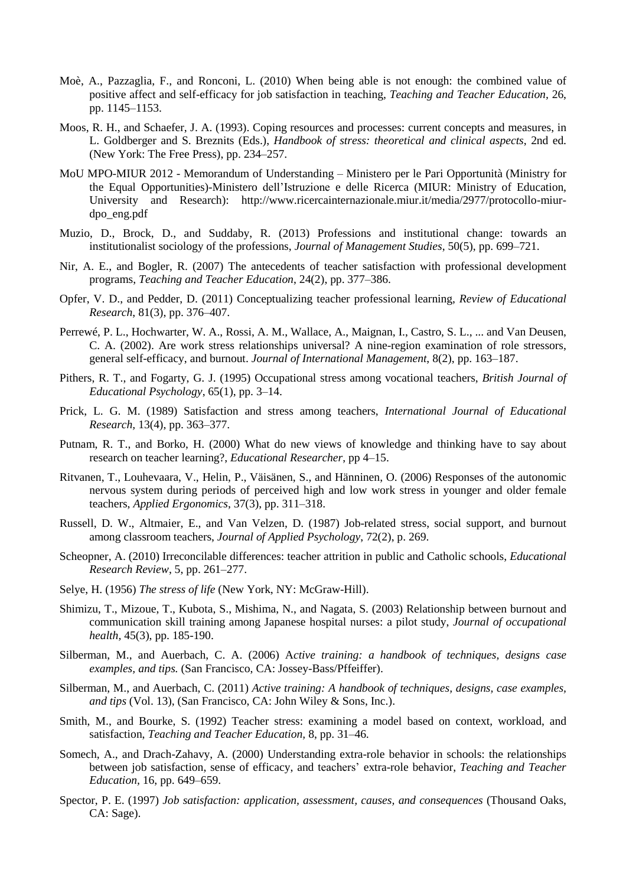- Moè, A., Pazzaglia, F., and Ronconi, L. (2010) When being able is not enough: the combined value of positive affect and self-efficacy for job satisfaction in teaching, *Teaching and Teacher Education,* 26, pp. 1145–1153.
- Moos, R. H., and Schaefer, J. A. (1993). Coping resources and processes: current concepts and measures, in L. Goldberger and S. Breznits (Eds.), *Handbook of stress: theoretical and clinical aspects*, 2nd ed. (New York: The Free Press), pp. 234–257.
- MoU MPO-MIUR 2012 Memorandum of Understanding Ministero per le Pari Opportunità (Ministry for the Equal Opportunities)-Ministero dell'Istruzione e delle Ricerca (MIUR: Ministry of Education, University and Research): http://www.ricercainternazionale.miur.it/media/2977/protocollo-miurdpo\_eng.pdf
- Muzio, D., Brock, D., and Suddaby, R. (2013) Professions and institutional change: towards an institutionalist sociology of the professions, *Journal of Management Studies*, 50(5), pp. 699–721.
- Nir, A. E., and Bogler, R. (2007) The antecedents of teacher satisfaction with professional development programs, *Teaching and Teacher [Education](http://www.sciencedirect.com/science/journal/0742051X)*, [24\(2\)](http://www.sciencedirect.com/science/journal/0742051X), pp. 377–386.
- Opfer, V. D., and Pedder, D. (2011) Conceptualizing teacher professional learning, *Review of Educational Research*, 81(3), pp. 376–407.
- Perrewé, P. L., Hochwarter, W. A., Rossi, A. M., Wallace, A., Maignan, I., Castro, S. L., ... and Van Deusen, C. A. (2002). Are work stress relationships universal? A nine-region examination of role stressors, general self-efficacy, and burnout. *Journal of International Management*, 8(2), pp. 163–187.
- Pithers, R. T., and Fogarty, G. J. (1995) Occupational stress among vocational teachers, *British Journal of Educational Psychology*, 65(1), pp. 3–14.
- Prick, L. G. M. (1989) Satisfaction and stress among teachers, *[International](http://www.sciencedirect.com/science/journal/08830355) Journal of Educational [Research,](http://www.sciencedirect.com/science/journal/08830355)* 13(4), pp. 363–377.
- Putnam, R. T., and Borko, H. (2000) What do new views of knowledge and thinking have to say about research on teacher learning?, *Educational Researcher*, pp 4–15.
- Ritvanen, T., Louhevaara, V., Helin, P., Väisänen, S., and Hänninen, O. (2006) Responses of the autonomic nervous system during periods of perceived high and low work stress in younger and older female teachers, *Applied Ergonomics*, 37(3), pp. 311–318.
- Russell, D. W., Altmaier, E., and Van Velzen, D. (1987) Job-related stress, social support, and burnout among classroom teachers, *Journal of Applied Psychology*, 72(2), p. 269.
- Scheopner, A. (2010) Irreconcilable differences: teacher attrition in public and Catholic schools, *Educational Research Review*, 5, pp. 261–277.
- Selye, H. (1956) *The stress of life* (New York, NY: McGraw-Hill).
- Shimizu, T., Mizoue, T., Kubota, S., Mishima, N., and Nagata, S. (2003) Relationship between burnout and communication skill training among Japanese hospital nurses: a pilot study, *Journal of occupational health,* 45(3), pp. 185-190.
- Silberman, M., and Auerbach, C. A. (2006) A*ctive training: a handbook of techniques, designs case examples, and tips.* (San Francisco, CA: Jossey-Bass/Pffeiffer).
- Silberman, M., and Auerbach, C. (2011) *Active training: A handbook of techniques, designs, case examples, and tips* (Vol. 13), (San Francisco, CA: John Wiley & Sons, Inc.).
- Smith, M., and Bourke, S. (1992) Teacher stress: examining a model based on context, workload, and satisfaction, *Teaching and Teacher [Education,](http://www.sciencedirect.com/science/journal/0742051X)* 8, pp. 31–46*.*
- Somech, A., and Drach-Zahavy, A. (2000) Understanding extra-role behavior in schools: the relationships between job satisfaction, sense of efficacy, and teachers' extra-role behavior, *Teaching and Teacher Education,* 16, pp. 649–659.
- Spector, P. E. (1997) *Job satisfaction: application, assessment, causes, and consequences* (Thousand Oaks, CA: Sage).